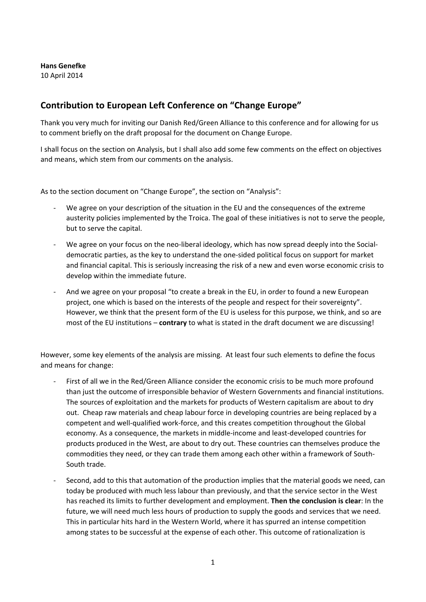## **Hans Genefke** 10 April 2014

## **Contribution to European Left Conference on "Change Europe"**

Thank you very much for inviting our Danish Red/Green Alliance to this conference and for allowing for us to comment briefly on the draft proposal for the document on Change Europe.

I shall focus on the section on Analysis, but I shall also add some few comments on the effect on objectives and means, which stem from our comments on the analysis.

As to the section document on "Change Europe", the section on "Analysis":

- We agree on your description of the situation in the EU and the consequences of the extreme austerity policies implemented by the Troica. The goal of these initiatives is not to serve the people, but to serve the capital.
- ‐ We agree on your focus on the neo‐liberal ideology, which has now spread deeply into the Social‐ democratic parties, as the key to understand the one‐sided political focus on support for market and financial capital. This is seriously increasing the risk of a new and even worse economic crisis to develop within the immediate future.
- And we agree on your proposal "to create a break in the EU, in order to found a new European project, one which is based on the interests of the people and respect for their sovereignty". However, we think that the present form of the EU is useless for this purpose, we think, and so are most of the EU institutions – **contrary** to what is stated in the draft document we are discussing!

However, some key elements of the analysis are missing. At least four such elements to define the focus and means for change:

- ‐ First of all we in the Red/Green Alliance consider the economic crisis to be much more profound than just the outcome of irresponsible behavior of Western Governments and financial institutions. The sources of exploitation and the markets for products of Western capitalism are about to dry out. Cheap raw materials and cheap labour force in developing countries are being replaced by a competent and well‐qualified work‐force, and this creates competition throughout the Global economy. As a consequence, the markets in middle-income and least-developed countries for products produced in the West, are about to dry out. These countries can themselves produce the commodities they need, or they can trade them among each other within a framework of South‐ South trade.
- Second, add to this that automation of the production implies that the material goods we need, can today be produced with much less labour than previously, and that the service sector in the West has reached its limits to further development and employment. **Then the conclusion is clear**: In the future, we will need much less hours of production to supply the goods and services that we need. This in particular hits hard in the Western World, where it has spurred an intense competition among states to be successful at the expense of each other. This outcome of rationalization is